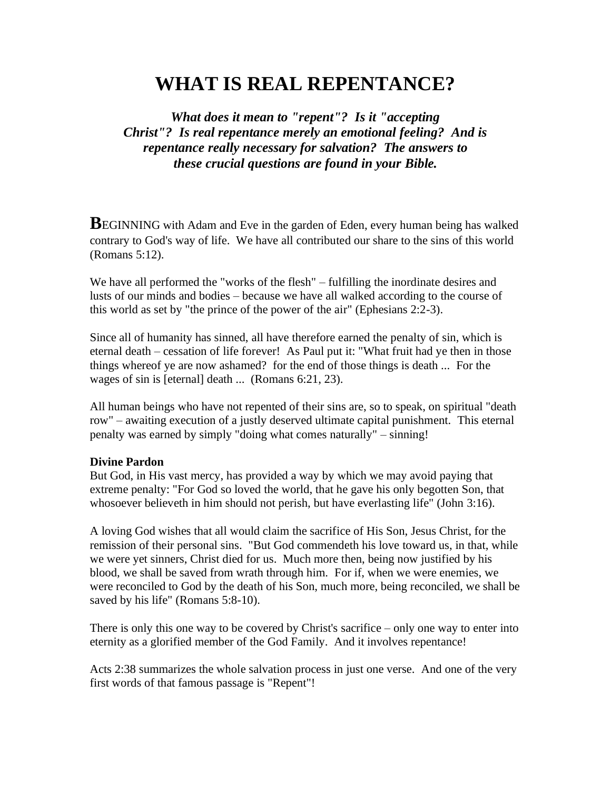# **WHAT IS REAL REPENTANCE?**

*What does it mean to "repent"? Is it "accepting Christ"? Is real repentance merely an emotional feeling? And is repentance really necessary for salvation? The answers to these crucial questions are found in your Bible.*

**BEGINNING** with Adam and Eve in the garden of Eden, every human being has walked contrary to God's way of life. We have all contributed our share to the sins of this world (Romans 5:12).

We have all performed the "works of the flesh" – fulfilling the inordinate desires and lusts of our minds and bodies – because we have all walked according to the course of this world as set by "the prince of the power of the air" (Ephesians 2:2-3).

Since all of humanity has sinned, all have therefore earned the penalty of sin, which is eternal death – cessation of life forever! As Paul put it: "What fruit had ye then in those things whereof ye are now ashamed? for the end of those things is death ... For the wages of sin is [eternal] death ... (Romans 6:21, 23).

All human beings who have not repented of their sins are, so to speak, on spiritual "death row" – awaiting execution of a justly deserved ultimate capital punishment. This eternal penalty was earned by simply "doing what comes naturally" – sinning!

#### **Divine Pardon**

But God, in His vast mercy, has provided a way by which we may avoid paying that extreme penalty: "For God so loved the world, that he gave his only begotten Son, that whosoever believeth in him should not perish, but have everlasting life" (John 3:16).

A loving God wishes that all would claim the sacrifice of His Son, Jesus Christ, for the remission of their personal sins. "But God commendeth his love toward us, in that, while we were yet sinners, Christ died for us. Much more then, being now justified by his blood, we shall be saved from wrath through him. For if, when we were enemies, we were reconciled to God by the death of his Son, much more, being reconciled, we shall be saved by his life" (Romans 5:8-10).

There is only this one way to be covered by Christ's sacrifice – only one way to enter into eternity as a glorified member of the God Family. And it involves repentance!

Acts 2:38 summarizes the whole salvation process in just one verse. And one of the very first words of that famous passage is "Repent"!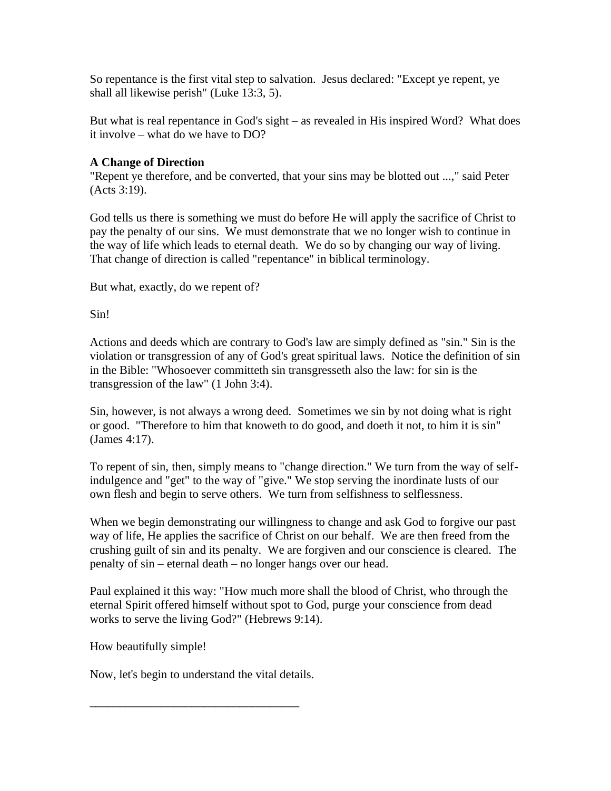So repentance is the first vital step to salvation. Jesus declared: "Except ye repent, ye shall all likewise perish" (Luke 13:3, 5).

But what is real repentance in God's sight – as revealed in His inspired Word? What does it involve – what do we have to DO?

## **A Change of Direction**

"Repent ye therefore, and be converted, that your sins may be blotted out ...," said Peter (Acts 3:19).

God tells us there is something we must do before He will apply the sacrifice of Christ to pay the penalty of our sins. We must demonstrate that we no longer wish to continue in the way of life which leads to eternal death. We do so by changing our way of living. That change of direction is called "repentance" in biblical terminology.

But what, exactly, do we repent of?

Sin!

Actions and deeds which are contrary to God's law are simply defined as "sin." Sin is the violation or transgression of any of God's great spiritual laws. Notice the definition of sin in the Bible: "Whosoever committeth sin transgresseth also the law: for sin is the transgression of the law" (1 John 3:4).

Sin, however, is not always a wrong deed. Sometimes we sin by not doing what is right or good. "Therefore to him that knoweth to do good, and doeth it not, to him it is sin" (James 4:17).

To repent of sin, then, simply means to "change direction." We turn from the way of selfindulgence and "get" to the way of "give." We stop serving the inordinate lusts of our own flesh and begin to serve others. We turn from selfishness to selflessness.

When we begin demonstrating our willingness to change and ask God to forgive our past way of life, He applies the sacrifice of Christ on our behalf. We are then freed from the crushing guilt of sin and its penalty. We are forgiven and our conscience is cleared. The penalty of sin – eternal death – no longer hangs over our head.

Paul explained it this way: "How much more shall the blood of Christ, who through the eternal Spirit offered himself without spot to God, purge your conscience from dead works to serve the living God?" (Hebrews 9:14).

How beautifully simple!

Now, let's begin to understand the vital details.

**\_\_\_\_\_\_\_\_\_\_\_\_\_\_\_\_\_\_\_\_\_\_\_\_\_\_\_\_\_\_\_\_\_\_\_**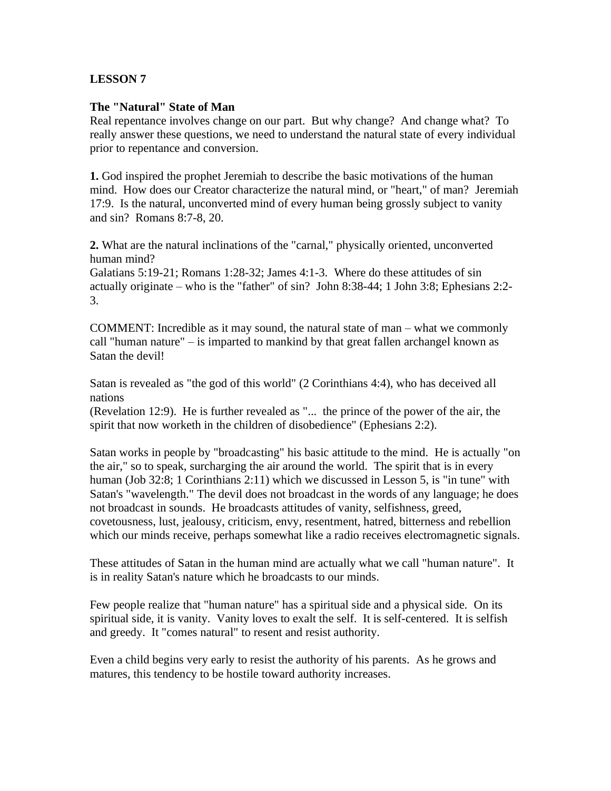### **LESSON 7**

#### **The "Natural" State of Man**

Real repentance involves change on our part. But why change? And change what? To really answer these questions, we need to understand the natural state of every individual prior to repentance and conversion.

**1.** God inspired the prophet Jeremiah to describe the basic motivations of the human mind. How does our Creator characterize the natural mind, or "heart," of man? Jeremiah 17:9. Is the natural, unconverted mind of every human being grossly subject to vanity and sin? Romans 8:7-8, 20.

**2.** What are the natural inclinations of the "carnal," physically oriented, unconverted human mind?

Galatians 5:19-21; Romans 1:28-32; James 4:1-3. Where do these attitudes of sin actually originate – who is the "father" of sin? John 8:38-44; 1 John 3:8; Ephesians 2:2- 3.

COMMENT: Incredible as it may sound, the natural state of man – what we commonly call "human nature" – is imparted to mankind by that great fallen archangel known as Satan the devil!

Satan is revealed as "the god of this world" (2 Corinthians 4:4), who has deceived all nations

(Revelation 12:9). He is further revealed as "... the prince of the power of the air, the spirit that now worketh in the children of disobedience" (Ephesians 2:2).

Satan works in people by "broadcasting" his basic attitude to the mind. He is actually "on the air," so to speak, surcharging the air around the world. The spirit that is in every human (Job 32:8; 1 Corinthians 2:11) which we discussed in Lesson 5, is "in tune" with Satan's "wavelength." The devil does not broadcast in the words of any language; he does not broadcast in sounds. He broadcasts attitudes of vanity, selfishness, greed, covetousness, lust, jealousy, criticism, envy, resentment, hatred, bitterness and rebellion which our minds receive, perhaps somewhat like a radio receives electromagnetic signals.

These attitudes of Satan in the human mind are actually what we call "human nature". It is in reality Satan's nature which he broadcasts to our minds.

Few people realize that "human nature" has a spiritual side and a physical side. On its spiritual side, it is vanity. Vanity loves to exalt the self. It is self-centered. It is selfish and greedy. It "comes natural" to resent and resist authority.

Even a child begins very early to resist the authority of his parents. As he grows and matures, this tendency to be hostile toward authority increases.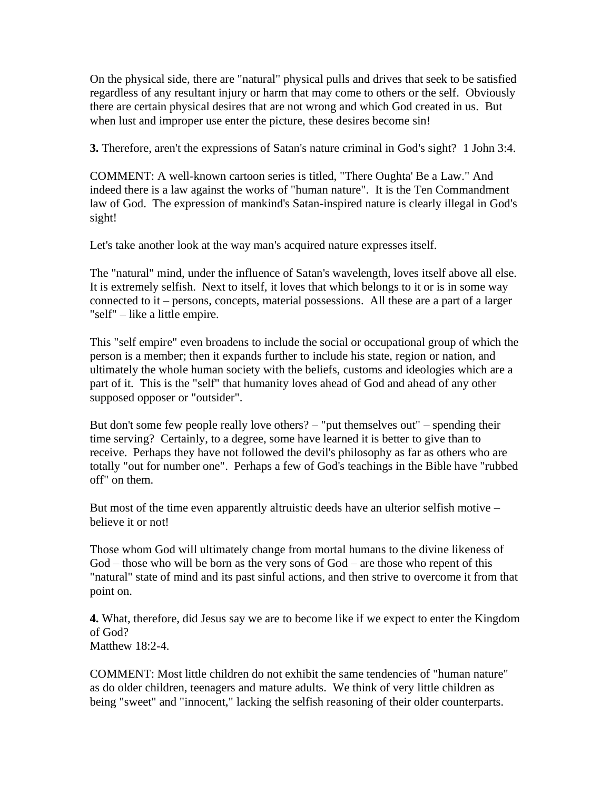On the physical side, there are "natural" physical pulls and drives that seek to be satisfied regardless of any resultant injury or harm that may come to others or the self. Obviously there are certain physical desires that are not wrong and which God created in us. But when lust and improper use enter the picture, these desires become sin!

**3.** Therefore, aren't the expressions of Satan's nature criminal in God's sight? 1 John 3:4.

COMMENT: A well-known cartoon series is titled, "There Oughta' Be a Law." And indeed there is a law against the works of "human nature". It is the Ten Commandment law of God. The expression of mankind's Satan-inspired nature is clearly illegal in God's sight!

Let's take another look at the way man's acquired nature expresses itself.

The "natural" mind, under the influence of Satan's wavelength, loves itself above all else. It is extremely selfish. Next to itself, it loves that which belongs to it or is in some way connected to it – persons, concepts, material possessions. All these are a part of a larger "self" – like a little empire.

This "self empire" even broadens to include the social or occupational group of which the person is a member; then it expands further to include his state, region or nation, and ultimately the whole human society with the beliefs, customs and ideologies which are a part of it. This is the "self" that humanity loves ahead of God and ahead of any other supposed opposer or "outsider".

But don't some few people really love others? – "put themselves out" – spending their time serving? Certainly, to a degree, some have learned it is better to give than to receive. Perhaps they have not followed the devil's philosophy as far as others who are totally "out for number one". Perhaps a few of God's teachings in the Bible have "rubbed off" on them.

But most of the time even apparently altruistic deeds have an ulterior selfish motive – believe it or not!

Those whom God will ultimately change from mortal humans to the divine likeness of God – those who will be born as the very sons of God – are those who repent of this "natural" state of mind and its past sinful actions, and then strive to overcome it from that point on.

**4.** What, therefore, did Jesus say we are to become like if we expect to enter the Kingdom of God? Matthew 18:2-4.

COMMENT: Most little children do not exhibit the same tendencies of "human nature" as do older children, teenagers and mature adults. We think of very little children as being "sweet" and "innocent," lacking the selfish reasoning of their older counterparts.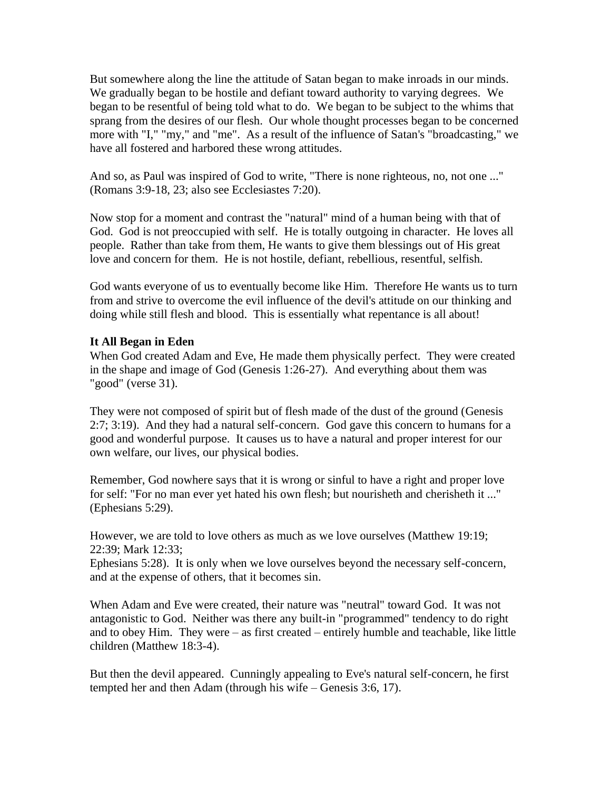But somewhere along the line the attitude of Satan began to make inroads in our minds. We gradually began to be hostile and defiant toward authority to varying degrees. We began to be resentful of being told what to do. We began to be subject to the whims that sprang from the desires of our flesh. Our whole thought processes began to be concerned more with "I," "my," and "me". As a result of the influence of Satan's "broadcasting," we have all fostered and harbored these wrong attitudes.

And so, as Paul was inspired of God to write, "There is none righteous, no, not one ..." (Romans 3:9-18, 23; also see Ecclesiastes 7:20).

Now stop for a moment and contrast the "natural" mind of a human being with that of God. God is not preoccupied with self. He is totally outgoing in character. He loves all people. Rather than take from them, He wants to give them blessings out of His great love and concern for them. He is not hostile, defiant, rebellious, resentful, selfish.

God wants everyone of us to eventually become like Him. Therefore He wants us to turn from and strive to overcome the evil influence of the devil's attitude on our thinking and doing while still flesh and blood. This is essentially what repentance is all about!

#### **It All Began in Eden**

When God created Adam and Eve, He made them physically perfect. They were created in the shape and image of God (Genesis 1:26-27). And everything about them was "good" (verse 31).

They were not composed of spirit but of flesh made of the dust of the ground (Genesis 2:7; 3:19). And they had a natural self-concern. God gave this concern to humans for a good and wonderful purpose. It causes us to have a natural and proper interest for our own welfare, our lives, our physical bodies.

Remember, God nowhere says that it is wrong or sinful to have a right and proper love for self: "For no man ever yet hated his own flesh; but nourisheth and cherisheth it ..." (Ephesians 5:29).

However, we are told to love others as much as we love ourselves (Matthew 19:19; 22:39; Mark 12:33;

Ephesians 5:28). It is only when we love ourselves beyond the necessary self-concern, and at the expense of others, that it becomes sin.

When Adam and Eve were created, their nature was "neutral" toward God. It was not antagonistic to God. Neither was there any built-in "programmed" tendency to do right and to obey Him. They were – as first created – entirely humble and teachable, like little children (Matthew 18:3-4).

But then the devil appeared. Cunningly appealing to Eve's natural self-concern, he first tempted her and then Adam (through his wife – Genesis 3:6, 17).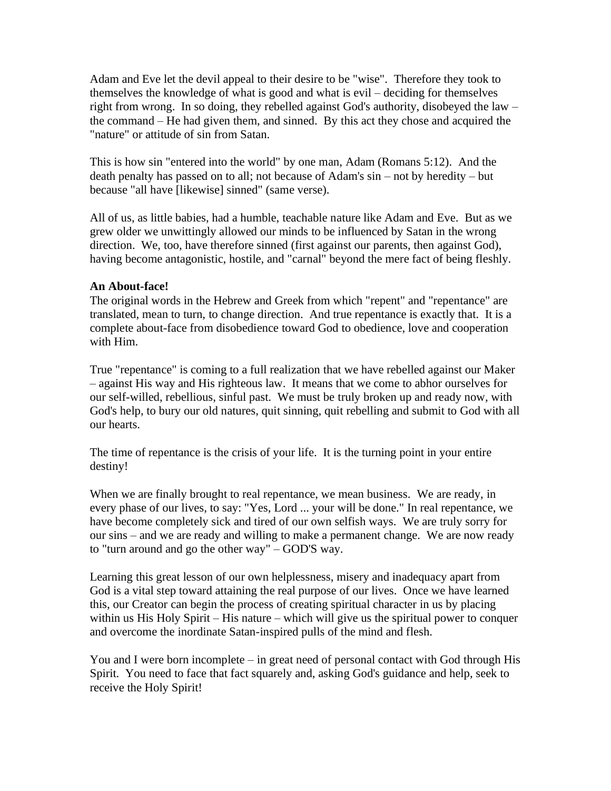Adam and Eve let the devil appeal to their desire to be "wise". Therefore they took to themselves the knowledge of what is good and what is evil – deciding for themselves right from wrong. In so doing, they rebelled against God's authority, disobeyed the law – the command – He had given them, and sinned. By this act they chose and acquired the "nature" or attitude of sin from Satan.

This is how sin "entered into the world" by one man, Adam (Romans 5:12). And the death penalty has passed on to all; not because of Adam's sin – not by heredity – but because "all have [likewise] sinned" (same verse).

All of us, as little babies, had a humble, teachable nature like Adam and Eve. But as we grew older we unwittingly allowed our minds to be influenced by Satan in the wrong direction. We, too, have therefore sinned (first against our parents, then against God), having become antagonistic, hostile, and "carnal" beyond the mere fact of being fleshly.

## **An About-face!**

The original words in the Hebrew and Greek from which "repent" and "repentance" are translated, mean to turn, to change direction. And true repentance is exactly that. It is a complete about-face from disobedience toward God to obedience, love and cooperation with Him.

True "repentance" is coming to a full realization that we have rebelled against our Maker – against His way and His righteous law. It means that we come to abhor ourselves for our self-willed, rebellious, sinful past. We must be truly broken up and ready now, with God's help, to bury our old natures, quit sinning, quit rebelling and submit to God with all our hearts.

The time of repentance is the crisis of your life. It is the turning point in your entire destiny!

When we are finally brought to real repentance, we mean business. We are ready, in every phase of our lives, to say: "Yes, Lord ... your will be done." In real repentance, we have become completely sick and tired of our own selfish ways. We are truly sorry for our sins – and we are ready and willing to make a permanent change. We are now ready to "turn around and go the other way" – GOD'S way.

Learning this great lesson of our own helplessness, misery and inadequacy apart from God is a vital step toward attaining the real purpose of our lives. Once we have learned this, our Creator can begin the process of creating spiritual character in us by placing within us His Holy Spirit – His nature – which will give us the spiritual power to conquer and overcome the inordinate Satan-inspired pulls of the mind and flesh.

You and I were born incomplete – in great need of personal contact with God through His Spirit. You need to face that fact squarely and, asking God's guidance and help, seek to receive the Holy Spirit!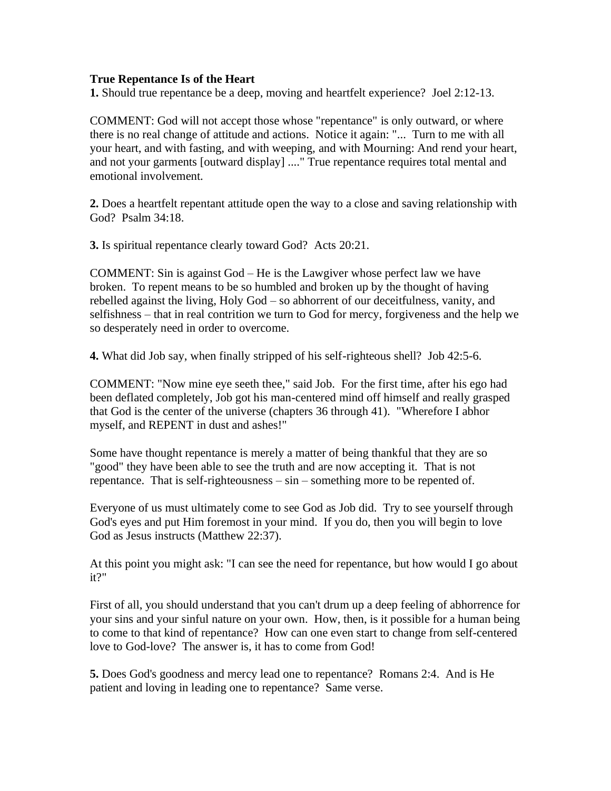#### **True Repentance Is of the Heart**

**1.** Should true repentance be a deep, moving and heartfelt experience? Joel 2:12-13.

COMMENT: God will not accept those whose "repentance" is only outward, or where there is no real change of attitude and actions. Notice it again: "... Turn to me with all your heart, and with fasting, and with weeping, and with Mourning: And rend your heart, and not your garments [outward display] ...." True repentance requires total mental and emotional involvement.

**2.** Does a heartfelt repentant attitude open the way to a close and saving relationship with God? Psalm 34:18.

**3.** Is spiritual repentance clearly toward God? Acts 20:21.

COMMENT: Sin is against God – He is the Lawgiver whose perfect law we have broken. To repent means to be so humbled and broken up by the thought of having rebelled against the living, Holy God – so abhorrent of our deceitfulness, vanity, and selfishness – that in real contrition we turn to God for mercy, forgiveness and the help we so desperately need in order to overcome.

**4.** What did Job say, when finally stripped of his self-righteous shell? Job 42:5-6.

COMMENT: "Now mine eye seeth thee," said Job. For the first time, after his ego had been deflated completely, Job got his man-centered mind off himself and really grasped that God is the center of the universe (chapters 36 through 41). "Wherefore I abhor myself, and REPENT in dust and ashes!"

Some have thought repentance is merely a matter of being thankful that they are so "good" they have been able to see the truth and are now accepting it. That is not repentance. That is self-righteousness – sin – something more to be repented of.

Everyone of us must ultimately come to see God as Job did. Try to see yourself through God's eyes and put Him foremost in your mind. If you do, then you will begin to love God as Jesus instructs (Matthew 22:37).

At this point you might ask: "I can see the need for repentance, but how would I go about it?"

First of all, you should understand that you can't drum up a deep feeling of abhorrence for your sins and your sinful nature on your own. How, then, is it possible for a human being to come to that kind of repentance? How can one even start to change from self-centered love to God-love? The answer is, it has to come from God!

**5.** Does God's goodness and mercy lead one to repentance? Romans 2:4. And is He patient and loving in leading one to repentance? Same verse.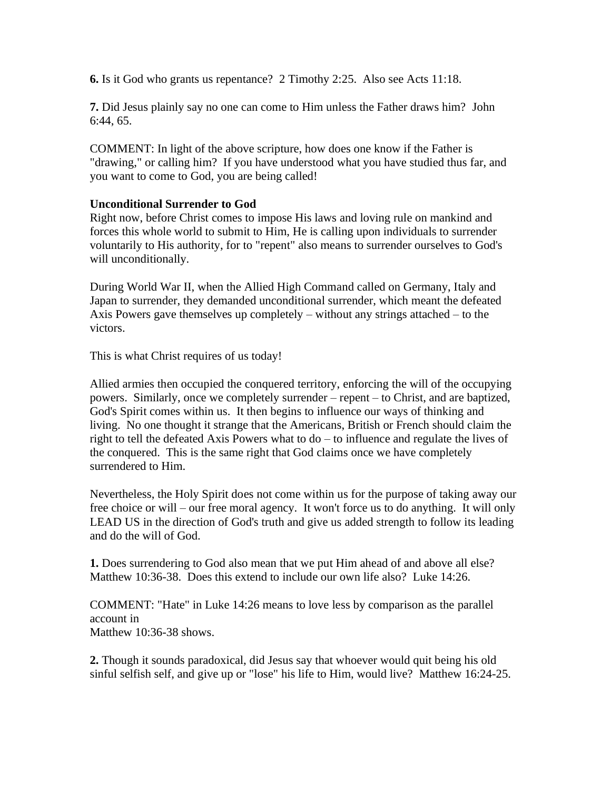**6.** Is it God who grants us repentance? 2 Timothy 2:25. Also see Acts 11:18.

**7.** Did Jesus plainly say no one can come to Him unless the Father draws him? John 6:44, 65.

COMMENT: In light of the above scripture, how does one know if the Father is "drawing," or calling him? If you have understood what you have studied thus far, and you want to come to God, you are being called!

## **Unconditional Surrender to God**

Right now, before Christ comes to impose His laws and loving rule on mankind and forces this whole world to submit to Him, He is calling upon individuals to surrender voluntarily to His authority, for to "repent" also means to surrender ourselves to God's will unconditionally.

During World War II, when the Allied High Command called on Germany, Italy and Japan to surrender, they demanded unconditional surrender, which meant the defeated Axis Powers gave themselves up completely – without any strings attached – to the victors.

This is what Christ requires of us today!

Allied armies then occupied the conquered territory, enforcing the will of the occupying powers. Similarly, once we completely surrender – repent – to Christ, and are baptized, God's Spirit comes within us. It then begins to influence our ways of thinking and living. No one thought it strange that the Americans, British or French should claim the right to tell the defeated Axis Powers what to do – to influence and regulate the lives of the conquered. This is the same right that God claims once we have completely surrendered to Him.

Nevertheless, the Holy Spirit does not come within us for the purpose of taking away our free choice or will – our free moral agency. It won't force us to do anything. It will only LEAD US in the direction of God's truth and give us added strength to follow its leading and do the will of God.

**1.** Does surrendering to God also mean that we put Him ahead of and above all else? Matthew 10:36-38. Does this extend to include our own life also? Luke 14:26.

COMMENT: "Hate" in Luke 14:26 means to love less by comparison as the parallel account in Matthew 10:36-38 shows.

**2.** Though it sounds paradoxical, did Jesus say that whoever would quit being his old sinful selfish self, and give up or "lose" his life to Him, would live? Matthew 16:24-25.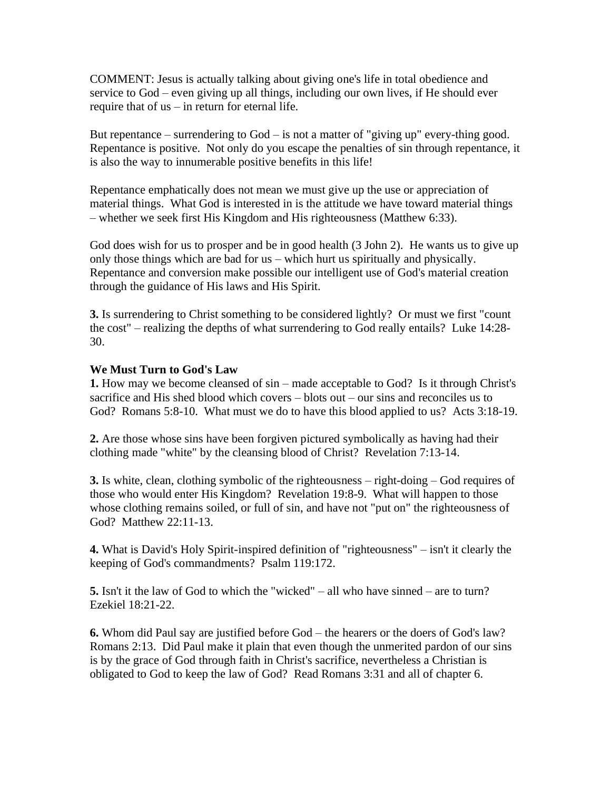COMMENT: Jesus is actually talking about giving one's life in total obedience and service to God – even giving up all things, including our own lives, if He should ever require that of us – in return for eternal life.

But repentance – surrendering to  $God - is not a matter of "giving up" every-thing good.$ Repentance is positive. Not only do you escape the penalties of sin through repentance, it is also the way to innumerable positive benefits in this life!

Repentance emphatically does not mean we must give up the use or appreciation of material things. What God is interested in is the attitude we have toward material things – whether we seek first His Kingdom and His righteousness (Matthew 6:33).

God does wish for us to prosper and be in good health (3 John 2). He wants us to give up only those things which are bad for us – which hurt us spiritually and physically. Repentance and conversion make possible our intelligent use of God's material creation through the guidance of His laws and His Spirit.

**3.** Is surrendering to Christ something to be considered lightly? Or must we first "count the cost" – realizing the depths of what surrendering to God really entails? Luke 14:28- 30.

#### **We Must Turn to God's Law**

**1.** How may we become cleansed of sin – made acceptable to God? Is it through Christ's sacrifice and His shed blood which covers – blots out – our sins and reconciles us to God? Romans 5:8-10. What must we do to have this blood applied to us? Acts 3:18-19.

**2.** Are those whose sins have been forgiven pictured symbolically as having had their clothing made "white" by the cleansing blood of Christ? Revelation 7:13-14.

**3.** Is white, clean, clothing symbolic of the righteousness – right-doing – God requires of those who would enter His Kingdom? Revelation 19:8-9. What will happen to those whose clothing remains soiled, or full of sin, and have not "put on" the righteousness of God? Matthew 22:11-13.

**4.** What is David's Holy Spirit-inspired definition of "righteousness" – isn't it clearly the keeping of God's commandments? Psalm 119:172.

**5.** Isn't it the law of God to which the "wicked" – all who have sinned – are to turn? Ezekiel 18:21-22.

**6.** Whom did Paul say are justified before God – the hearers or the doers of God's law? Romans 2:13. Did Paul make it plain that even though the unmerited pardon of our sins is by the grace of God through faith in Christ's sacrifice, nevertheless a Christian is obligated to God to keep the law of God? Read Romans 3:31 and all of chapter 6.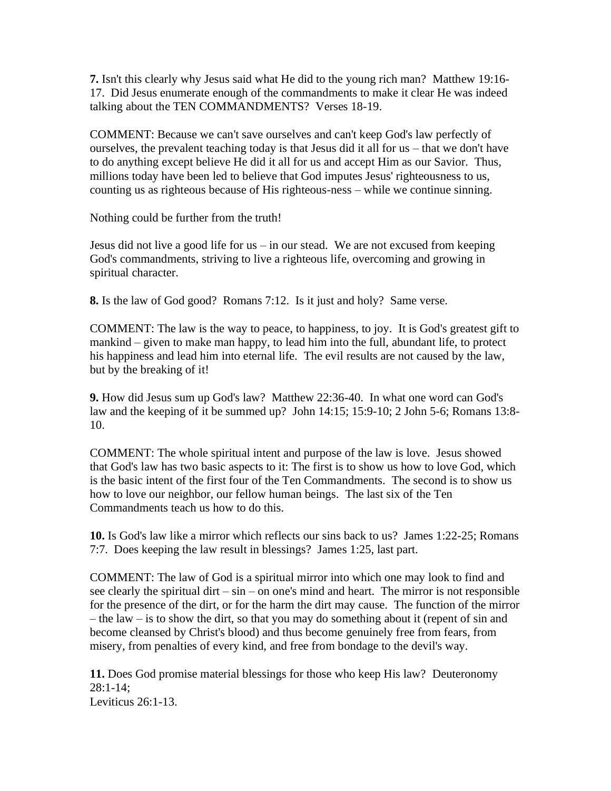**7.** Isn't this clearly why Jesus said what He did to the young rich man? Matthew 19:16- 17. Did Jesus enumerate enough of the commandments to make it clear He was indeed talking about the TEN COMMANDMENTS? Verses 18-19.

COMMENT: Because we can't save ourselves and can't keep God's law perfectly of ourselves, the prevalent teaching today is that Jesus did it all for us – that we don't have to do anything except believe He did it all for us and accept Him as our Savior. Thus, millions today have been led to believe that God imputes Jesus' righteousness to us, counting us as righteous because of His righteous-ness – while we continue sinning.

Nothing could be further from the truth!

Jesus did not live a good life for us – in our stead. We are not excused from keeping God's commandments, striving to live a righteous life, overcoming and growing in spiritual character.

**8.** Is the law of God good? Romans 7:12. Is it just and holy? Same verse.

COMMENT: The law is the way to peace, to happiness, to joy. It is God's greatest gift to mankind – given to make man happy, to lead him into the full, abundant life, to protect his happiness and lead him into eternal life. The evil results are not caused by the law, but by the breaking of it!

**9.** How did Jesus sum up God's law? Matthew 22:36-40. In what one word can God's law and the keeping of it be summed up? John 14:15; 15:9-10; 2 John 5-6; Romans 13:8- 10.

COMMENT: The whole spiritual intent and purpose of the law is love. Jesus showed that God's law has two basic aspects to it: The first is to show us how to love God, which is the basic intent of the first four of the Ten Commandments. The second is to show us how to love our neighbor, our fellow human beings. The last six of the Ten Commandments teach us how to do this.

**10.** Is God's law like a mirror which reflects our sins back to us? James 1:22-25; Romans 7:7. Does keeping the law result in blessings? James 1:25, last part.

COMMENT: The law of God is a spiritual mirror into which one may look to find and see clearly the spiritual dirt – sin – on one's mind and heart. The mirror is not responsible for the presence of the dirt, or for the harm the dirt may cause. The function of the mirror – the law – is to show the dirt, so that you may do something about it (repent of sin and become cleansed by Christ's blood) and thus become genuinely free from fears, from misery, from penalties of every kind, and free from bondage to the devil's way.

**11.** Does God promise material blessings for those who keep His law? Deuteronomy 28:1-14; Leviticus 26:1-13.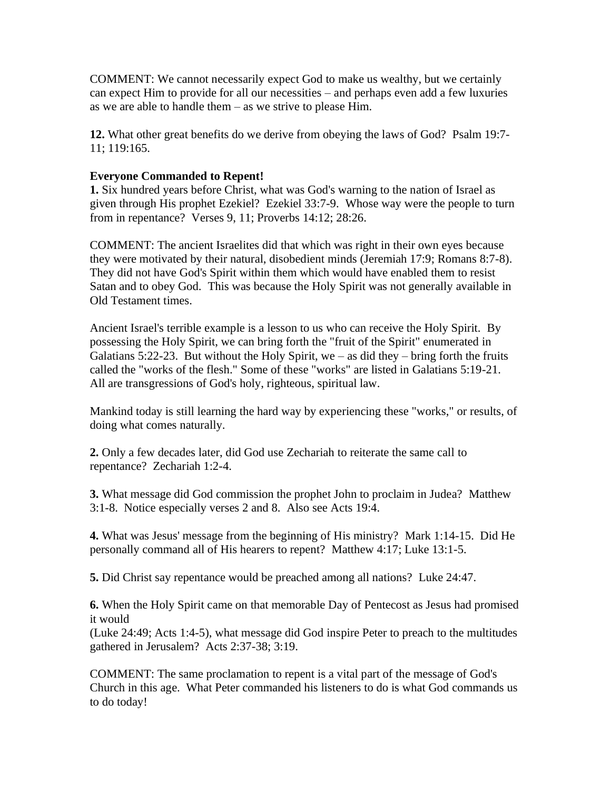COMMENT: We cannot necessarily expect God to make us wealthy, but we certainly can expect Him to provide for all our necessities – and perhaps even add a few luxuries as we are able to handle them – as we strive to please Him.

**12.** What other great benefits do we derive from obeying the laws of God? Psalm 19:7- 11; 119:165.

## **Everyone Commanded to Repent!**

**1.** Six hundred years before Christ, what was God's warning to the nation of Israel as given through His prophet Ezekiel? Ezekiel 33:7-9. Whose way were the people to turn from in repentance? Verses 9, 11; Proverbs 14:12; 28:26.

COMMENT: The ancient Israelites did that which was right in their own eyes because they were motivated by their natural, disobedient minds (Jeremiah 17:9; Romans 8:7-8). They did not have God's Spirit within them which would have enabled them to resist Satan and to obey God. This was because the Holy Spirit was not generally available in Old Testament times.

Ancient Israel's terrible example is a lesson to us who can receive the Holy Spirit. By possessing the Holy Spirit, we can bring forth the "fruit of the Spirit" enumerated in Galatians  $5:22-23$ . But without the Holy Spirit, we – as did they – bring forth the fruits called the "works of the flesh." Some of these "works" are listed in Galatians 5:19-21. All are transgressions of God's holy, righteous, spiritual law.

Mankind today is still learning the hard way by experiencing these "works," or results, of doing what comes naturally.

**2.** Only a few decades later, did God use Zechariah to reiterate the same call to repentance? Zechariah 1:2-4.

**3.** What message did God commission the prophet John to proclaim in Judea? Matthew 3:1-8. Notice especially verses 2 and 8. Also see Acts 19:4.

**4.** What was Jesus' message from the beginning of His ministry? Mark 1:14-15. Did He personally command all of His hearers to repent? Matthew 4:17; Luke 13:1-5.

**5.** Did Christ say repentance would be preached among all nations? Luke 24:47.

**6.** When the Holy Spirit came on that memorable Day of Pentecost as Jesus had promised it would

(Luke 24:49; Acts 1:4-5), what message did God inspire Peter to preach to the multitudes gathered in Jerusalem? Acts 2:37-38; 3:19.

COMMENT: The same proclamation to repent is a vital part of the message of God's Church in this age. What Peter commanded his listeners to do is what God commands us to do today!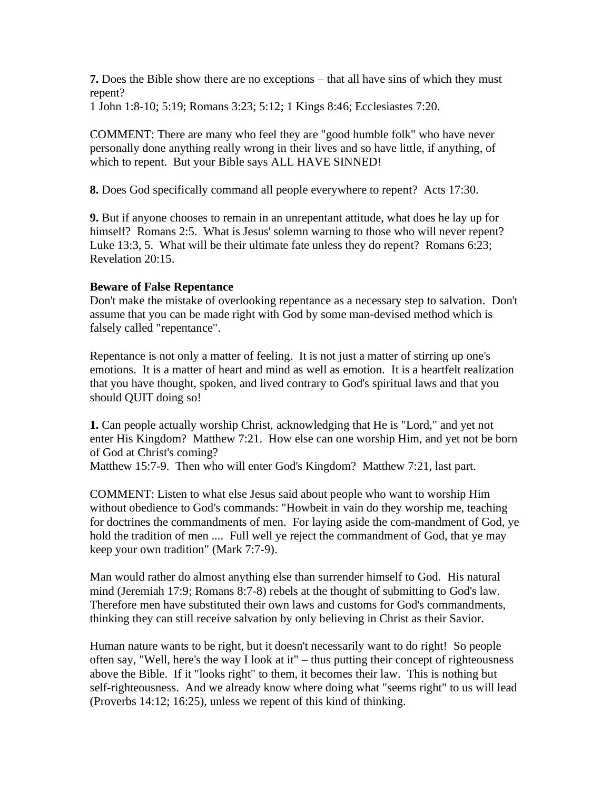**7.** Does the Bible show there are no exceptions – that all have sins of which they must repent?

1 John 1:8-10; 5:19; Romans 3:23; 5:12; 1 Kings 8:46; Ecclesiastes 7:20.

COMMENT: There are many who feel they are "good humble folk" who have never personally done anything really wrong in their lives and so have little, if anything, of which to repent. But your Bible says ALL HAVE SINNED!

**8.** Does God specifically command all people everywhere to repent? Acts 17:30.

**9.** But if anyone chooses to remain in an unrepentant attitude, what does he lay up for himself? Romans 2:5. What is Jesus' solemn warning to those who will never repent? Luke 13:3, 5. What will be their ultimate fate unless they do repent? Romans 6:23; Revelation 20:15.

## **Beware of False Repentance**

Don't make the mistake of overlooking repentance as a necessary step to salvation. Don't assume that you can be made right with God by some man-devised method which is falsely called "repentance".

Repentance is not only a matter of feeling. It is not just a matter of stirring up one's emotions. It is a matter of heart and mind as well as emotion. It is a heartfelt realization that you have thought, spoken, and lived contrary to God's spiritual laws and that you should QUIT doing so!

**1.** Can people actually worship Christ, acknowledging that He is "Lord," and yet not enter His Kingdom? Matthew 7:21. How else can one worship Him, and yet not be born of God at Christ's coming?

Matthew 15:7-9. Then who will enter God's Kingdom? Matthew 7:21, last part.

COMMENT: Listen to what else Jesus said about people who want to worship Him without obedience to God's commands: "Howbeit in vain do they worship me, teaching for doctrines the commandments of men. For laying aside the com-mandment of God, ye hold the tradition of men .... Full well ye reject the commandment of God, that ye may keep your own tradition" (Mark 7:7-9).

Man would rather do almost anything else than surrender himself to God. His natural mind (Jeremiah 17:9; Romans 8:7-8) rebels at the thought of submitting to God's law. Therefore men have substituted their own laws and customs for God's commandments, thinking they can still receive salvation by only believing in Christ as their Savior.

Human nature wants to be right, but it doesn't necessarily want to do right! So people often say, "Well, here's the way I look at it" – thus putting their concept of righteousness above the Bible. If it "looks right" to them, it becomes their law. This is nothing but self-righteousness. And we already know where doing what "seems right" to us will lead (Proverbs 14:12; 16:25), unless we repent of this kind of thinking.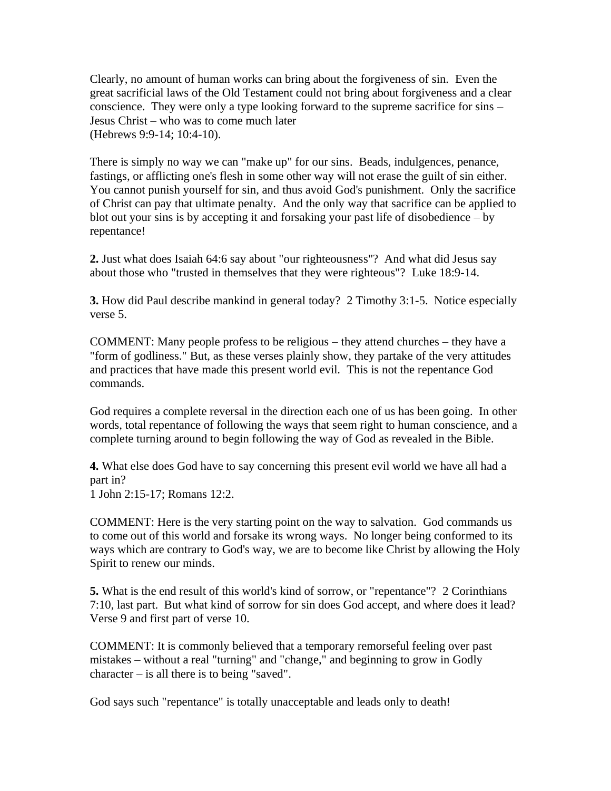Clearly, no amount of human works can bring about the forgiveness of sin. Even the great sacrificial laws of the Old Testament could not bring about forgiveness and a clear conscience. They were only a type looking forward to the supreme sacrifice for sins – Jesus Christ – who was to come much later (Hebrews 9:9-14; 10:4-10).

There is simply no way we can "make up" for our sins. Beads, indulgences, penance, fastings, or afflicting one's flesh in some other way will not erase the guilt of sin either. You cannot punish yourself for sin, and thus avoid God's punishment. Only the sacrifice of Christ can pay that ultimate penalty. And the only way that sacrifice can be applied to blot out your sins is by accepting it and forsaking your past life of disobedience – by repentance!

**2.** Just what does Isaiah 64:6 say about "our righteousness"? And what did Jesus say about those who "trusted in themselves that they were righteous"? Luke 18:9-14.

**3.** How did Paul describe mankind in general today? 2 Timothy 3:1-5. Notice especially verse 5.

COMMENT: Many people profess to be religious – they attend churches – they have a "form of godliness." But, as these verses plainly show, they partake of the very attitudes and practices that have made this present world evil. This is not the repentance God commands.

God requires a complete reversal in the direction each one of us has been going. In other words, total repentance of following the ways that seem right to human conscience, and a complete turning around to begin following the way of God as revealed in the Bible.

**4.** What else does God have to say concerning this present evil world we have all had a part in?

1 John 2:15-17; Romans 12:2.

COMMENT: Here is the very starting point on the way to salvation. God commands us to come out of this world and forsake its wrong ways. No longer being conformed to its ways which are contrary to God's way, we are to become like Christ by allowing the Holy Spirit to renew our minds.

**5.** What is the end result of this world's kind of sorrow, or "repentance"? 2 Corinthians 7:10, last part. But what kind of sorrow for sin does God accept, and where does it lead? Verse 9 and first part of verse 10.

COMMENT: It is commonly believed that a temporary remorseful feeling over past mistakes – without a real "turning" and "change," and beginning to grow in Godly character – is all there is to being "saved".

God says such "repentance" is totally unacceptable and leads only to death!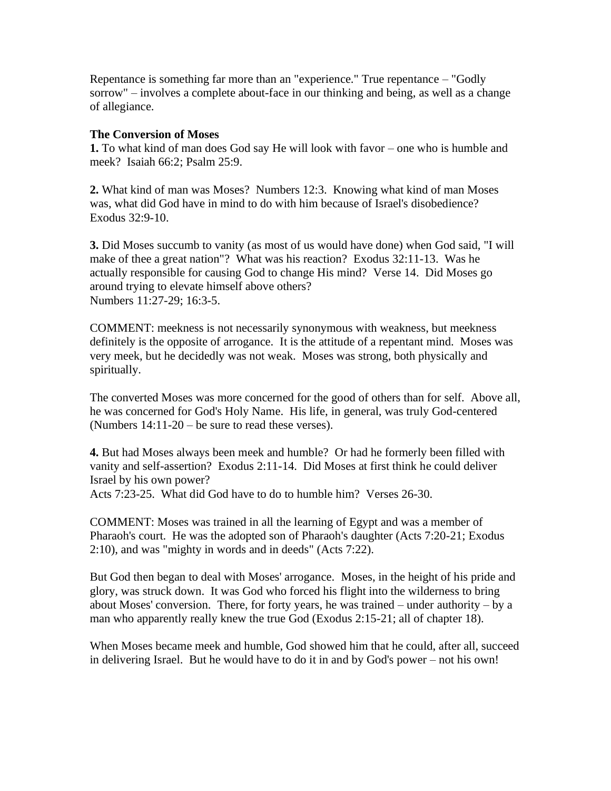Repentance is something far more than an "experience." True repentance – "Godly sorrow" – involves a complete about-face in our thinking and being, as well as a change of allegiance.

#### **The Conversion of Moses**

**1.** To what kind of man does God say He will look with favor – one who is humble and meek? Isaiah 66:2; Psalm 25:9.

**2.** What kind of man was Moses? Numbers 12:3. Knowing what kind of man Moses was, what did God have in mind to do with him because of Israel's disobedience? Exodus 32:9-10.

**3.** Did Moses succumb to vanity (as most of us would have done) when God said, "I will make of thee a great nation"? What was his reaction? Exodus 32:11-13. Was he actually responsible for causing God to change His mind? Verse 14. Did Moses go around trying to elevate himself above others? Numbers 11:27-29; 16:3-5.

COMMENT: meekness is not necessarily synonymous with weakness, but meekness definitely is the opposite of arrogance. It is the attitude of a repentant mind. Moses was very meek, but he decidedly was not weak. Moses was strong, both physically and spiritually.

The converted Moses was more concerned for the good of others than for self. Above all, he was concerned for God's Holy Name. His life, in general, was truly God-centered (Numbers 14:11-20 – be sure to read these verses).

**4.** But had Moses always been meek and humble? Or had he formerly been filled with vanity and self-assertion? Exodus 2:11-14. Did Moses at first think he could deliver Israel by his own power?

Acts 7:23-25. What did God have to do to humble him? Verses 26-30.

COMMENT: Moses was trained in all the learning of Egypt and was a member of Pharaoh's court. He was the adopted son of Pharaoh's daughter (Acts 7:20-21; Exodus 2:10), and was "mighty in words and in deeds" (Acts 7:22).

But God then began to deal with Moses' arrogance. Moses, in the height of his pride and glory, was struck down. It was God who forced his flight into the wilderness to bring about Moses' conversion. There, for forty years, he was trained – under authority – by a man who apparently really knew the true God (Exodus 2:15-21; all of chapter 18).

When Moses became meek and humble, God showed him that he could, after all, succeed in delivering Israel. But he would have to do it in and by God's power – not his own!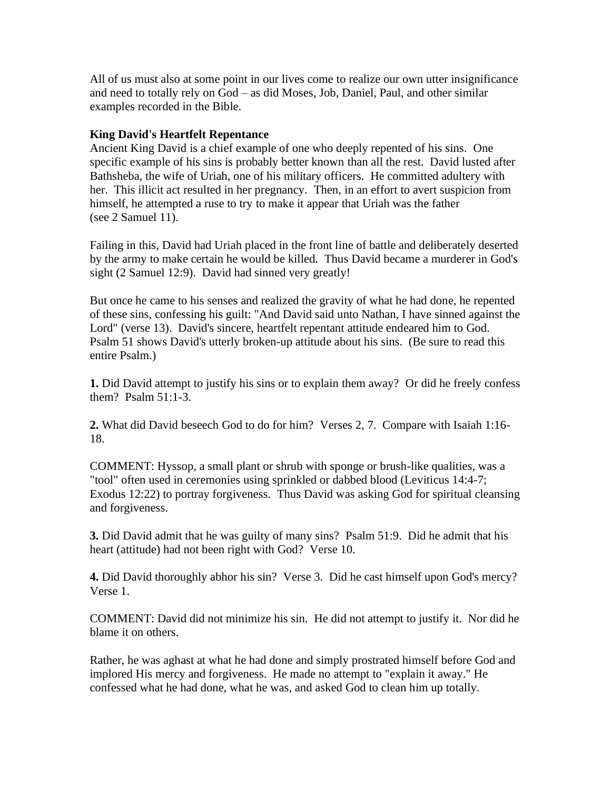All of us must also at some point in our lives come to realize our own utter insignificance and need to totally rely on God – as did Moses, Job, Daniel, Paul, and other similar examples recorded in the Bible.

### **King David's Heartfelt Repentance**

Ancient King David is a chief example of one who deeply repented of his sins. One specific example of his sins is probably better known than all the rest. David lusted after Bathsheba, the wife of Uriah, one of his military officers. He committed adultery with her. This illicit act resulted in her pregnancy. Then, in an effort to avert suspicion from himself, he attempted a ruse to try to make it appear that Uriah was the father (see 2 Samuel 11).

Failing in this, David had Uriah placed in the front line of battle and deliberately deserted by the army to make certain he would be killed. Thus David became a murderer in God's sight (2 Samuel 12:9). David had sinned very greatly!

But once he came to his senses and realized the gravity of what he had done, he repented of these sins, confessing his guilt: "And David said unto Nathan, I have sinned against the Lord" (verse 13). David's sincere, heartfelt repentant attitude endeared him to God. Psalm 51 shows David's utterly broken-up attitude about his sins. (Be sure to read this entire Psalm.)

**1.** Did David attempt to justify his sins or to explain them away? Or did he freely confess them? Psalm 51:1-3.

**2.** What did David beseech God to do for him? Verses 2, 7. Compare with Isaiah 1:16- 18.

COMMENT: Hyssop, a small plant or shrub with sponge or brush-like qualities, was a "tool" often used in ceremonies using sprinkled or dabbed blood (Leviticus 14:4-7; Exodus 12:22) to portray forgiveness. Thus David was asking God for spiritual cleansing and forgiveness.

**3.** Did David admit that he was guilty of many sins? Psalm 51:9. Did he admit that his heart (attitude) had not been right with God? Verse 10.

**4.** Did David thoroughly abhor his sin? Verse 3. Did he cast himself upon God's mercy? Verse 1.

COMMENT: David did not minimize his sin. He did not attempt to justify it. Nor did he blame it on others.

Rather, he was aghast at what he had done and simply prostrated himself before God and implored His mercy and forgiveness. He made no attempt to "explain it away." He confessed what he had done, what he was, and asked God to clean him up totally.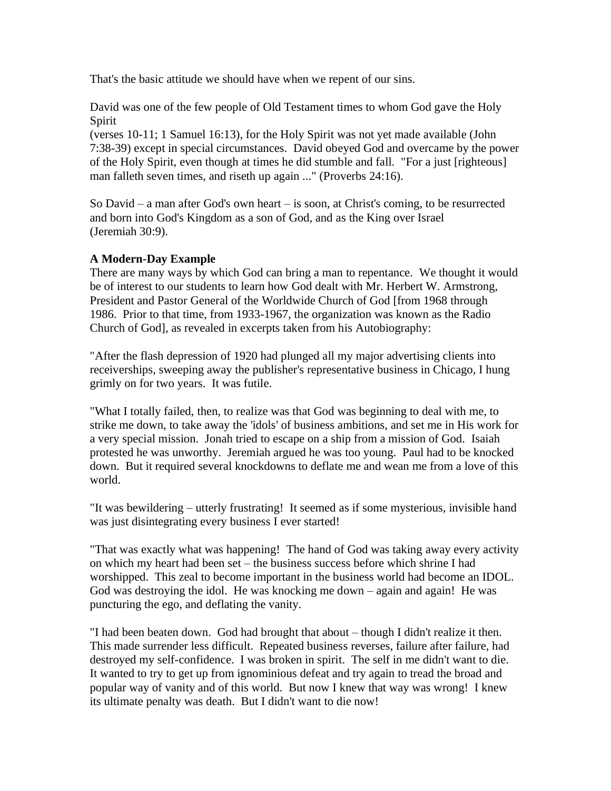That's the basic attitude we should have when we repent of our sins.

David was one of the few people of Old Testament times to whom God gave the Holy Spirit

(verses 10-11; 1 Samuel 16:13), for the Holy Spirit was not yet made available (John 7:38-39) except in special circumstances. David obeyed God and overcame by the power of the Holy Spirit, even though at times he did stumble and fall. "For a just [righteous] man falleth seven times, and riseth up again ..." (Proverbs 24:16).

So David – a man after God's own heart – is soon, at Christ's coming, to be resurrected and born into God's Kingdom as a son of God, and as the King over Israel (Jeremiah 30:9).

## **A Modern-Day Example**

There are many ways by which God can bring a man to repentance. We thought it would be of interest to our students to learn how God dealt with Mr. Herbert W. Armstrong, President and Pastor General of the Worldwide Church of God [from 1968 through 1986. Prior to that time, from 1933-1967, the organization was known as the Radio Church of God], as revealed in excerpts taken from his Autobiography:

"After the flash depression of 1920 had plunged all my major advertising clients into receiverships, sweeping away the publisher's representative business in Chicago, I hung grimly on for two years. It was futile.

"What I totally failed, then, to realize was that God was beginning to deal with me, to strike me down, to take away the 'idols' of business ambitions, and set me in His work for a very special mission. Jonah tried to escape on a ship from a mission of God. Isaiah protested he was unworthy. Jeremiah argued he was too young. Paul had to be knocked down. But it required several knockdowns to deflate me and wean me from a love of this world.

"It was bewildering – utterly frustrating! It seemed as if some mysterious, invisible hand was just disintegrating every business I ever started!

"That was exactly what was happening! The hand of God was taking away every activity on which my heart had been set – the business success before which shrine I had worshipped. This zeal to become important in the business world had become an IDOL. God was destroying the idol. He was knocking me down – again and again! He was puncturing the ego, and deflating the vanity.

"I had been beaten down. God had brought that about – though I didn't realize it then. This made surrender less difficult. Repeated business reverses, failure after failure, had destroyed my self-confidence. I was broken in spirit. The self in me didn't want to die. It wanted to try to get up from ignominious defeat and try again to tread the broad and popular way of vanity and of this world. But now I knew that way was wrong! I knew its ultimate penalty was death. But I didn't want to die now!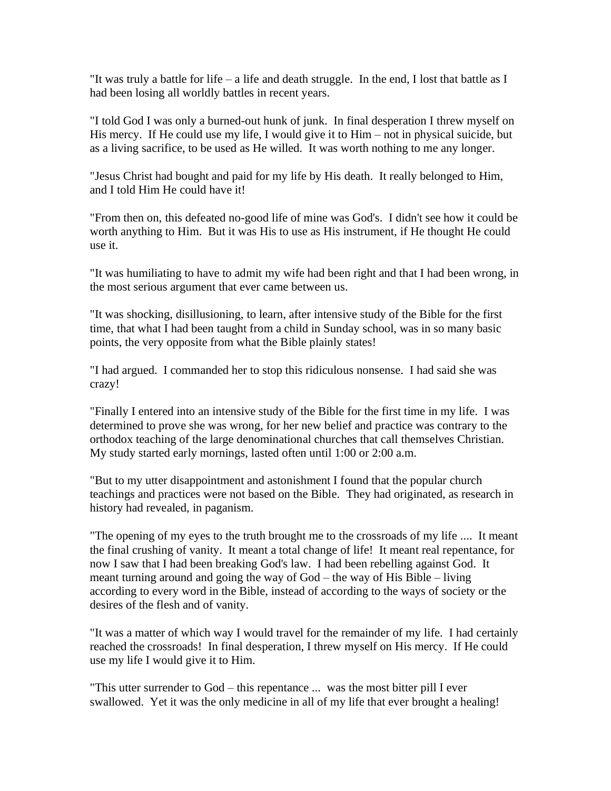"It was truly a battle for life – a life and death struggle. In the end, I lost that battle as I had been losing all worldly battles in recent years.

"I told God I was only a burned-out hunk of junk. In final desperation I threw myself on His mercy. If He could use my life, I would give it to Him – not in physical suicide, but as a living sacrifice, to be used as He willed. It was worth nothing to me any longer.

"Jesus Christ had bought and paid for my life by His death. It really belonged to Him, and I told Him He could have it!

"From then on, this defeated no-good life of mine was God's. I didn't see how it could be worth anything to Him. But it was His to use as His instrument, if He thought He could use it.

"It was humiliating to have to admit my wife had been right and that I had been wrong, in the most serious argument that ever came between us.

"It was shocking, disillusioning, to learn, after intensive study of the Bible for the first time, that what I had been taught from a child in Sunday school, was in so many basic points, the very opposite from what the Bible plainly states!

"I had argued. I commanded her to stop this ridiculous nonsense. I had said she was crazy!

"Finally I entered into an intensive study of the Bible for the first time in my life. I was determined to prove she was wrong, for her new belief and practice was contrary to the orthodox teaching of the large denominational churches that call themselves Christian. My study started early mornings, lasted often until 1:00 or 2:00 a.m.

"But to my utter disappointment and astonishment I found that the popular church teachings and practices were not based on the Bible. They had originated, as research in history had revealed, in paganism.

"The opening of my eyes to the truth brought me to the crossroads of my life .... It meant the final crushing of vanity. It meant a total change of life! It meant real repentance, for now I saw that I had been breaking God's law. I had been rebelling against God. It meant turning around and going the way of God – the way of His Bible – living according to every word in the Bible, instead of according to the ways of society or the desires of the flesh and of vanity.

"It was a matter of which way I would travel for the remainder of my life. I had certainly reached the crossroads! In final desperation, I threw myself on His mercy. If He could use my life I would give it to Him.

"This utter surrender to God – this repentance ... was the most bitter pill I ever swallowed. Yet it was the only medicine in all of my life that ever brought a healing!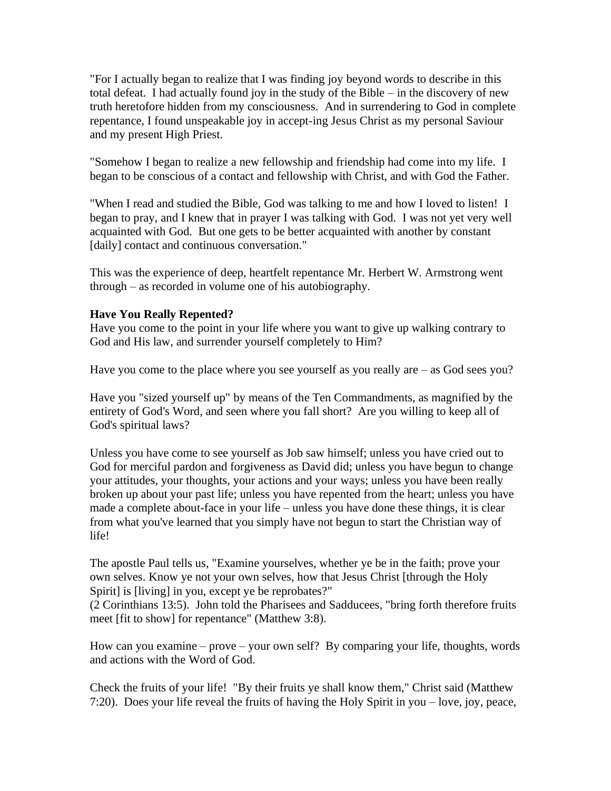"For I actually began to realize that I was finding joy beyond words to describe in this total defeat. I had actually found joy in the study of the Bible – in the discovery of new truth heretofore hidden from my consciousness. And in surrendering to God in complete repentance, I found unspeakable joy in accept-ing Jesus Christ as my personal Saviour and my present High Priest.

"Somehow I began to realize a new fellowship and friendship had come into my life. I began to be conscious of a contact and fellowship with Christ, and with God the Father.

"When I read and studied the Bible, God was talking to me and how I loved to listen! I began to pray, and I knew that in prayer I was talking with God. I was not yet very well acquainted with God. But one gets to be better acquainted with another by constant [daily] contact and continuous conversation."

This was the experience of deep, heartfelt repentance Mr. Herbert W. Armstrong went through – as recorded in volume one of his autobiography.

## **Have You Really Repented?**

Have you come to the point in your life where you want to give up walking contrary to God and His law, and surrender yourself completely to Him?

Have you come to the place where you see yourself as you really are – as God sees you?

Have you "sized yourself up" by means of the Ten Commandments, as magnified by the entirety of God's Word, and seen where you fall short? Are you willing to keep all of God's spiritual laws?

Unless you have come to see yourself as Job saw himself; unless you have cried out to God for merciful pardon and forgiveness as David did; unless you have begun to change your attitudes, your thoughts, your actions and your ways; unless you have been really broken up about your past life; unless you have repented from the heart; unless you have made a complete about-face in your life – unless you have done these things, it is clear from what you've learned that you simply have not begun to start the Christian way of life!

The apostle Paul tells us, "Examine yourselves, whether ye be in the faith; prove your own selves. Know ye not your own selves, how that Jesus Christ [through the Holy Spirit] is [living] in you, except ye be reprobates?"

(2 Corinthians 13:5). John told the Pharisees and Sadducees, "bring forth therefore fruits meet [fit to show] for repentance" (Matthew 3:8).

How can you examine – prove – your own self? By comparing your life, thoughts, words and actions with the Word of God.

Check the fruits of your life! "By their fruits ye shall know them," Christ said (Matthew 7:20). Does your life reveal the fruits of having the Holy Spirit in you – love, joy, peace,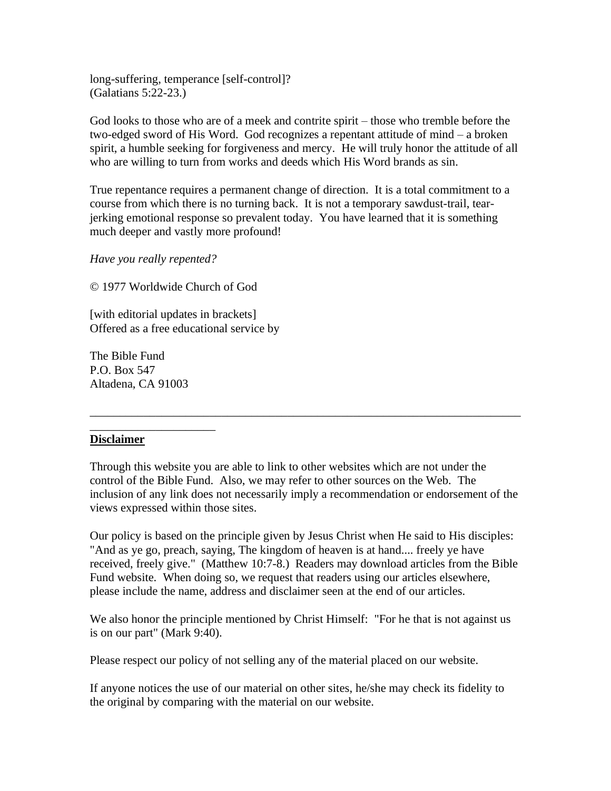long-suffering, temperance [self-control]? (Galatians 5:22-23.)

God looks to those who are of a meek and contrite spirit – those who tremble before the two-edged sword of His Word. God recognizes a repentant attitude of mind – a broken spirit, a humble seeking for forgiveness and mercy. He will truly honor the attitude of all who are willing to turn from works and deeds which His Word brands as sin.

True repentance requires a permanent change of direction. It is a total commitment to a course from which there is no turning back. It is not a temporary sawdust-trail, tearjerking emotional response so prevalent today. You have learned that it is something much deeper and vastly more profound!

*Have you really repented?*

© 1977 Worldwide Church of God

[with editorial updates in brackets] Offered as a free educational service by

The Bible Fund P.O. Box 547 Altadena, CA 91003

\_\_\_\_\_\_\_\_\_\_\_\_\_\_\_\_\_\_\_\_\_

#### **Disclaimer**

Through this website you are able to link to other websites which are not under the control of the Bible Fund. Also, we may refer to other sources on the Web. The inclusion of any link does not necessarily imply a recommendation or endorsement of the views expressed within those sites.

\_\_\_\_\_\_\_\_\_\_\_\_\_\_\_\_\_\_\_\_\_\_\_\_\_\_\_\_\_\_\_\_\_\_\_\_\_\_\_\_\_\_\_\_\_\_\_\_\_\_\_\_\_\_\_\_\_\_\_\_\_\_\_\_\_\_\_\_\_\_\_\_

Our policy is based on the principle given by Jesus Christ when He said to His disciples: "And as ye go, preach, saying, The kingdom of heaven is at hand.... freely ye have received, freely give." (Matthew 10:7-8.) Readers may download articles from the Bible Fund website. When doing so, we request that readers using our articles elsewhere, please include the name, address and disclaimer seen at the end of our articles.

We also honor the principle mentioned by Christ Himself: "For he that is not against us is on our part" (Mark 9:40).

Please respect our policy of not selling any of the material placed on our website.

If anyone notices the use of our material on other sites, he/she may check its fidelity to the original by comparing with the material on our website.